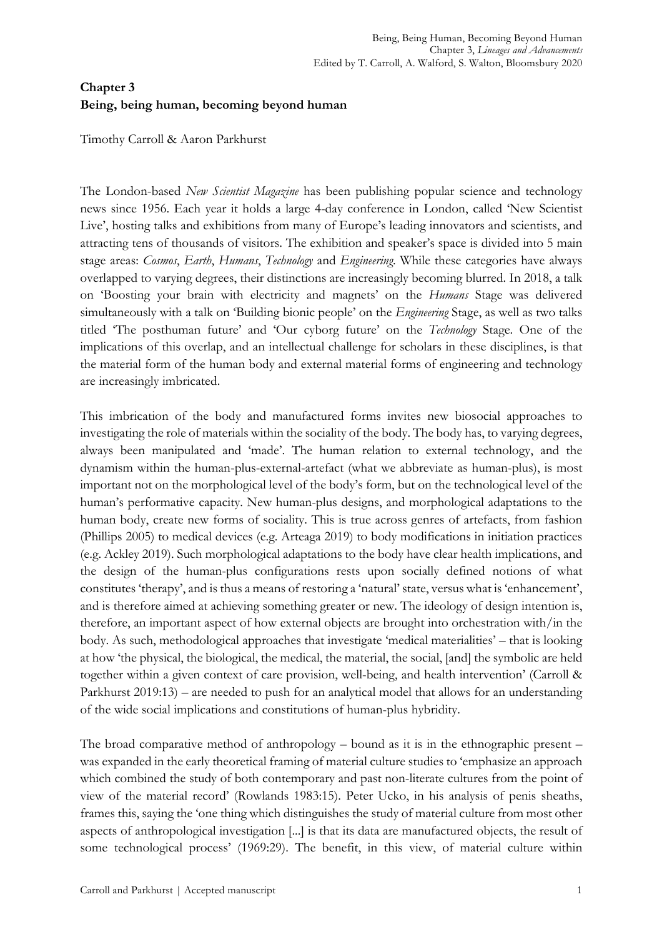# **Chapter 3 Being, being human, becoming beyond human**

Timothy Carroll & Aaron Parkhurst

The London-based *New Scientist Magazine* has been publishing popular science and technology news since 1956. Each year it holds a large 4-day conference in London, called 'New Scientist Live', hosting talks and exhibitions from many of Europe's leading innovators and scientists, and attracting tens of thousands of visitors. The exhibition and speaker's space is divided into 5 main stage areas: *Cosmos*, *Earth*, *Humans*, *Technology* and *Engineering*. While these categories have always overlapped to varying degrees, their distinctions are increasingly becoming blurred. In 2018, a talk on 'Boosting your brain with electricity and magnets' on the *Humans* Stage was delivered simultaneously with a talk on 'Building bionic people' on the *Engineering* Stage, as well as two talks titled 'The posthuman future' and 'Our cyborg future' on the *Technology* Stage. One of the implications of this overlap, and an intellectual challenge for scholars in these disciplines, is that the material form of the human body and external material forms of engineering and technology are increasingly imbricated.

This imbrication of the body and manufactured forms invites new biosocial approaches to investigating the role of materials within the sociality of the body. The body has, to varying degrees, always been manipulated and 'made'. The human relation to external technology, and the dynamism within the human-plus-external-artefact (what we abbreviate as human-plus), is most important not on the morphological level of the body's form, but on the technological level of the human's performative capacity. New human-plus designs, and morphological adaptations to the human body, create new forms of sociality. This is true across genres of artefacts, from fashion (Phillips 2005) to medical devices (e.g. Arteaga 2019) to body modifications in initiation practices (e.g. Ackley 2019). Such morphological adaptations to the body have clear health implications, and the design of the human-plus configurations rests upon socially defined notions of what constitutes 'therapy', and is thus a means of restoring a 'natural' state, versus what is 'enhancement', and is therefore aimed at achieving something greater or new. The ideology of design intention is, therefore, an important aspect of how external objects are brought into orchestration with/in the body. As such, methodological approaches that investigate 'medical materialities' – that is looking at how 'the physical, the biological, the medical, the material, the social, [and] the symbolic are held together within a given context of care provision, well-being, and health intervention' (Carroll & Parkhurst 2019:13) – are needed to push for an analytical model that allows for an understanding of the wide social implications and constitutions of human-plus hybridity.

The broad comparative method of anthropology – bound as it is in the ethnographic present – was expanded in the early theoretical framing of material culture studies to 'emphasize an approach which combined the study of both contemporary and past non-literate cultures from the point of view of the material record' (Rowlands 1983:15). Peter Ucko, in his analysis of penis sheaths, frames this, saying the 'one thing which distinguishes the study of material culture from most other aspects of anthropological investigation [...] is that its data are manufactured objects, the result of some technological process' (1969:29). The benefit, in this view, of material culture within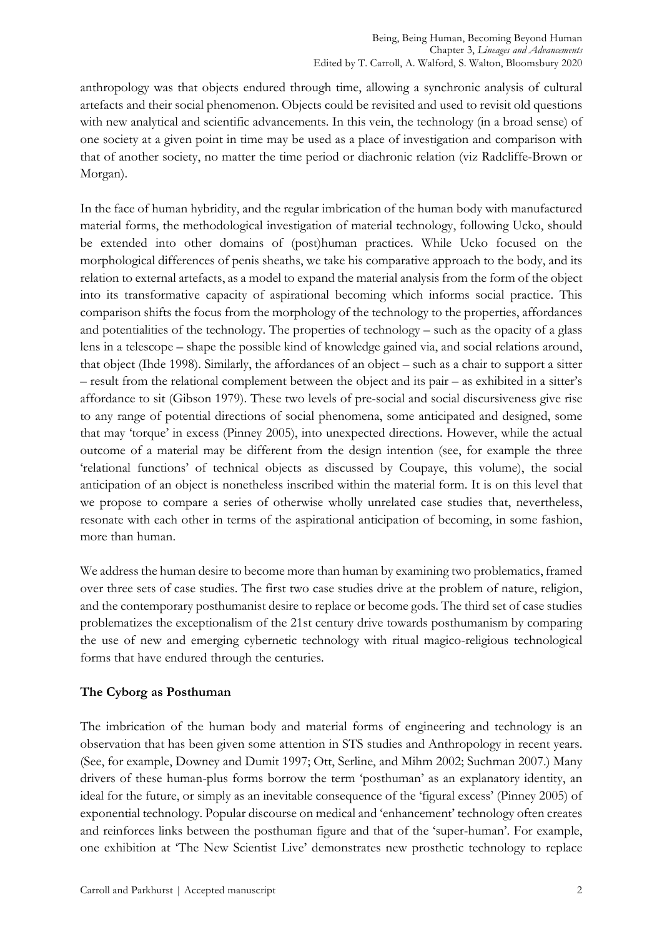anthropology was that objects endured through time, allowing a synchronic analysis of cultural artefacts and their social phenomenon. Objects could be revisited and used to revisit old questions with new analytical and scientific advancements. In this vein, the technology (in a broad sense) of one society at a given point in time may be used as a place of investigation and comparison with that of another society, no matter the time period or diachronic relation (viz Radcliffe-Brown or Morgan).

In the face of human hybridity, and the regular imbrication of the human body with manufactured material forms, the methodological investigation of material technology, following Ucko, should be extended into other domains of (post)human practices. While Ucko focused on the morphological differences of penis sheaths, we take his comparative approach to the body, and its relation to external artefacts, as a model to expand the material analysis from the form of the object into its transformative capacity of aspirational becoming which informs social practice. This comparison shifts the focus from the morphology of the technology to the properties, affordances and potentialities of the technology. The properties of technology – such as the opacity of a glass lens in a telescope – shape the possible kind of knowledge gained via, and social relations around, that object (Ihde 1998). Similarly, the affordances of an object – such as a chair to support a sitter – result from the relational complement between the object and its pair – as exhibited in a sitter's affordance to sit (Gibson 1979). These two levels of pre-social and social discursiveness give rise to any range of potential directions of social phenomena, some anticipated and designed, some that may 'torque' in excess (Pinney 2005), into unexpected directions. However, while the actual outcome of a material may be different from the design intention (see, for example the three 'relational functions' of technical objects as discussed by Coupaye, this volume), the social anticipation of an object is nonetheless inscribed within the material form. It is on this level that we propose to compare a series of otherwise wholly unrelated case studies that, nevertheless, resonate with each other in terms of the aspirational anticipation of becoming, in some fashion, more than human.

We address the human desire to become more than human by examining two problematics, framed over three sets of case studies. The first two case studies drive at the problem of nature, religion, and the contemporary posthumanist desire to replace or become gods. The third set of case studies problematizes the exceptionalism of the 21st century drive towards posthumanism by comparing the use of new and emerging cybernetic technology with ritual magico-religious technological forms that have endured through the centuries.

#### **The Cyborg as Posthuman**

The imbrication of the human body and material forms of engineering and technology is an observation that has been given some attention in STS studies and Anthropology in recent years. (See, for example, Downey and Dumit 1997; Ott, Serline, and Mihm 2002; Suchman 2007.) Many drivers of these human-plus forms borrow the term 'posthuman' as an explanatory identity, an ideal for the future, or simply as an inevitable consequence of the 'figural excess' (Pinney 2005) of exponential technology. Popular discourse on medical and 'enhancement' technology often creates and reinforces links between the posthuman figure and that of the 'super-human'. For example, one exhibition at 'The New Scientist Live' demonstrates new prosthetic technology to replace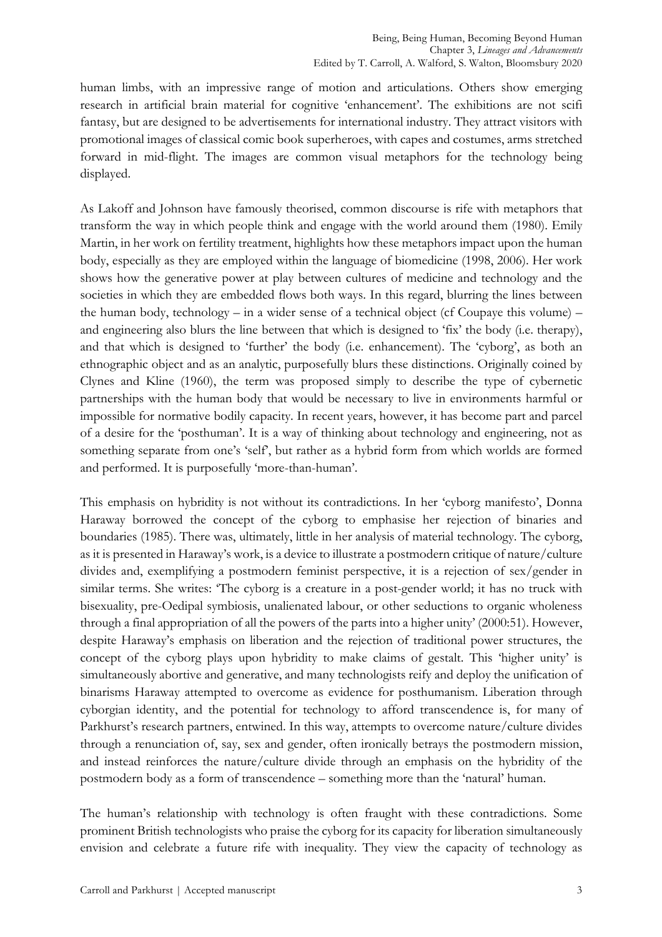human limbs, with an impressive range of motion and articulations. Others show emerging research in artificial brain material for cognitive 'enhancement'. The exhibitions are not scifi fantasy, but are designed to be advertisements for international industry. They attract visitors with promotional images of classical comic book superheroes, with capes and costumes, arms stretched forward in mid-flight. The images are common visual metaphors for the technology being displayed.

As Lakoff and Johnson have famously theorised, common discourse is rife with metaphors that transform the way in which people think and engage with the world around them (1980). Emily Martin, in her work on fertility treatment, highlights how these metaphors impact upon the human body, especially as they are employed within the language of biomedicine (1998, 2006). Her work shows how the generative power at play between cultures of medicine and technology and the societies in which they are embedded flows both ways. In this regard, blurring the lines between the human body, technology – in a wider sense of a technical object (cf Coupaye this volume) – and engineering also blurs the line between that which is designed to 'fix' the body (i.e. therapy), and that which is designed to 'further' the body (i.e. enhancement). The 'cyborg', as both an ethnographic object and as an analytic, purposefully blurs these distinctions. Originally coined by Clynes and Kline (1960), the term was proposed simply to describe the type of cybernetic partnerships with the human body that would be necessary to live in environments harmful or impossible for normative bodily capacity. In recent years, however, it has become part and parcel of a desire for the 'posthuman'. It is a way of thinking about technology and engineering, not as something separate from one's 'self', but rather as a hybrid form from which worlds are formed and performed. It is purposefully 'more-than-human'.

This emphasis on hybridity is not without its contradictions. In her 'cyborg manifesto', Donna Haraway borrowed the concept of the cyborg to emphasise her rejection of binaries and boundaries (1985). There was, ultimately, little in her analysis of material technology. The cyborg, as it is presented in Haraway's work, is a device to illustrate a postmodern critique of nature/culture divides and, exemplifying a postmodern feminist perspective, it is a rejection of sex/gender in similar terms. She writes: 'The cyborg is a creature in a post-gender world; it has no truck with bisexuality, pre-Oedipal symbiosis, unalienated labour, or other seductions to organic wholeness through a final appropriation of all the powers of the parts into a higher unity' (2000:51). However, despite Haraway's emphasis on liberation and the rejection of traditional power structures, the concept of the cyborg plays upon hybridity to make claims of gestalt. This 'higher unity' is simultaneously abortive and generative, and many technologists reify and deploy the unification of binarisms Haraway attempted to overcome as evidence for posthumanism. Liberation through cyborgian identity, and the potential for technology to afford transcendence is, for many of Parkhurst's research partners, entwined. In this way, attempts to overcome nature/culture divides through a renunciation of, say, sex and gender, often ironically betrays the postmodern mission, and instead reinforces the nature/culture divide through an emphasis on the hybridity of the postmodern body as a form of transcendence – something more than the 'natural' human.

The human's relationship with technology is often fraught with these contradictions. Some prominent British technologists who praise the cyborg for its capacity for liberation simultaneously envision and celebrate a future rife with inequality. They view the capacity of technology as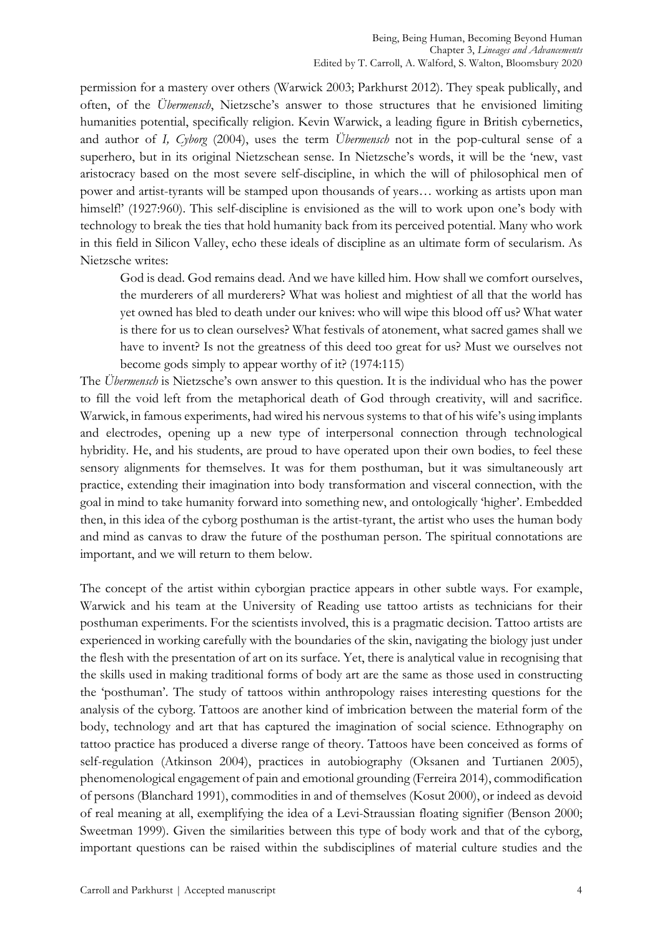permission for a mastery over others (Warwick 2003; Parkhurst 2012). They speak publically, and often, of the *Übermensch*, Nietzsche's answer to those structures that he envisioned limiting humanities potential, specifically religion. Kevin Warwick, a leading figure in British cybernetics, and author of *I, Cyborg* (2004), uses the term *Übermensch* not in the pop-cultural sense of a superhero, but in its original Nietzschean sense. In Nietzsche's words, it will be the 'new, vast aristocracy based on the most severe self-discipline, in which the will of philosophical men of power and artist-tyrants will be stamped upon thousands of years… working as artists upon man himself!' (1927:960). This self-discipline is envisioned as the will to work upon one's body with technology to break the ties that hold humanity back from its perceived potential. Many who work in this field in Silicon Valley, echo these ideals of discipline as an ultimate form of secularism. As Nietzsche writes:

God is dead. God remains dead. And we have killed him. How shall we comfort ourselves, the murderers of all murderers? What was holiest and mightiest of all that the world has yet owned has bled to death under our knives: who will wipe this blood off us? What water is there for us to clean ourselves? What festivals of atonement, what sacred games shall we have to invent? Is not the greatness of this deed too great for us? Must we ourselves not become gods simply to appear worthy of it? (1974:115)

The *Übermensch* is Nietzsche's own answer to this question. It is the individual who has the power to fill the void left from the metaphorical death of God through creativity, will and sacrifice. Warwick, in famous experiments, had wired his nervous systems to that of his wife's using implants and electrodes, opening up a new type of interpersonal connection through technological hybridity. He, and his students, are proud to have operated upon their own bodies, to feel these sensory alignments for themselves. It was for them posthuman, but it was simultaneously art practice, extending their imagination into body transformation and visceral connection, with the goal in mind to take humanity forward into something new, and ontologically 'higher'. Embedded then, in this idea of the cyborg posthuman is the artist-tyrant, the artist who uses the human body and mind as canvas to draw the future of the posthuman person. The spiritual connotations are important, and we will return to them below.

The concept of the artist within cyborgian practice appears in other subtle ways. For example, Warwick and his team at the University of Reading use tattoo artists as technicians for their posthuman experiments. For the scientists involved, this is a pragmatic decision. Tattoo artists are experienced in working carefully with the boundaries of the skin, navigating the biology just under the flesh with the presentation of art on its surface. Yet, there is analytical value in recognising that the skills used in making traditional forms of body art are the same as those used in constructing the 'posthuman'. The study of tattoos within anthropology raises interesting questions for the analysis of the cyborg. Tattoos are another kind of imbrication between the material form of the body, technology and art that has captured the imagination of social science. Ethnography on tattoo practice has produced a diverse range of theory. Tattoos have been conceived as forms of self-regulation (Atkinson 2004), practices in autobiography (Oksanen and Turtianen 2005), phenomenological engagement of pain and emotional grounding (Ferreira 2014), commodification of persons (Blanchard 1991), commodities in and of themselves (Kosut 2000), or indeed as devoid of real meaning at all, exemplifying the idea of a Levi-Straussian floating signifier (Benson 2000; Sweetman 1999). Given the similarities between this type of body work and that of the cyborg, important questions can be raised within the subdisciplines of material culture studies and the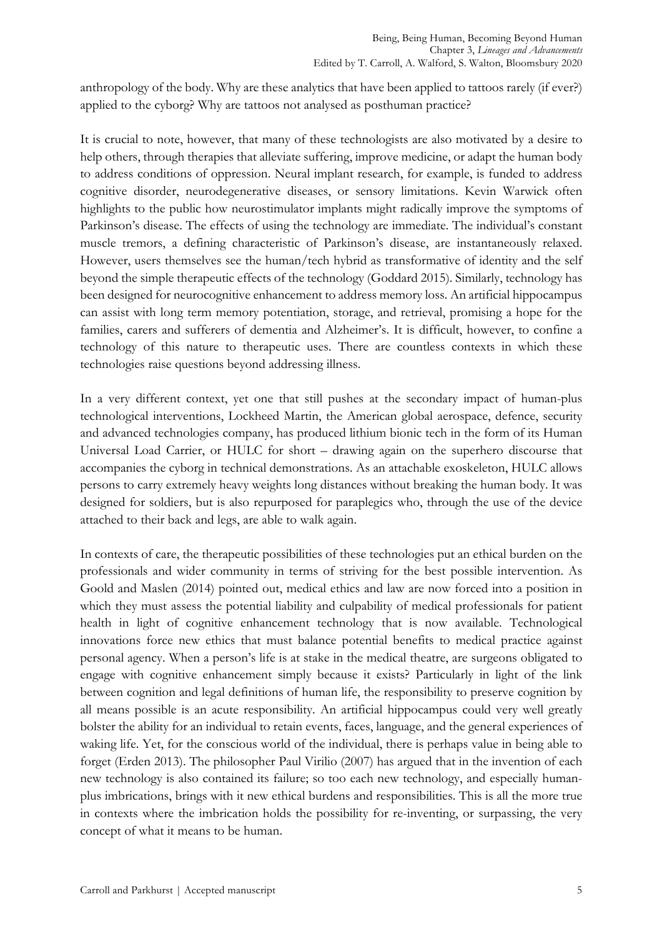anthropology of the body. Why are these analytics that have been applied to tattoos rarely (if ever?) applied to the cyborg? Why are tattoos not analysed as posthuman practice?

It is crucial to note, however, that many of these technologists are also motivated by a desire to help others, through therapies that alleviate suffering, improve medicine, or adapt the human body to address conditions of oppression. Neural implant research, for example, is funded to address cognitive disorder, neurodegenerative diseases, or sensory limitations. Kevin Warwick often highlights to the public how neurostimulator implants might radically improve the symptoms of Parkinson's disease. The effects of using the technology are immediate. The individual's constant muscle tremors, a defining characteristic of Parkinson's disease, are instantaneously relaxed. However, users themselves see the human/tech hybrid as transformative of identity and the self beyond the simple therapeutic effects of the technology (Goddard 2015). Similarly, technology has been designed for neurocognitive enhancement to address memory loss. An artificial hippocampus can assist with long term memory potentiation, storage, and retrieval, promising a hope for the families, carers and sufferers of dementia and Alzheimer's. It is difficult, however, to confine a technology of this nature to therapeutic uses. There are countless contexts in which these technologies raise questions beyond addressing illness.

In a very different context, yet one that still pushes at the secondary impact of human-plus technological interventions, Lockheed Martin, the American global aerospace, defence, security and advanced technologies company, has produced lithium bionic tech in the form of its Human Universal Load Carrier, or HULC for short – drawing again on the superhero discourse that accompanies the cyborg in technical demonstrations. As an attachable exoskeleton, HULC allows persons to carry extremely heavy weights long distances without breaking the human body. It was designed for soldiers, but is also repurposed for paraplegics who, through the use of the device attached to their back and legs, are able to walk again.

In contexts of care, the therapeutic possibilities of these technologies put an ethical burden on the professionals and wider community in terms of striving for the best possible intervention. As Goold and Maslen (2014) pointed out, medical ethics and law are now forced into a position in which they must assess the potential liability and culpability of medical professionals for patient health in light of cognitive enhancement technology that is now available. Technological innovations force new ethics that must balance potential benefits to medical practice against personal agency. When a person's life is at stake in the medical theatre, are surgeons obligated to engage with cognitive enhancement simply because it exists? Particularly in light of the link between cognition and legal definitions of human life, the responsibility to preserve cognition by all means possible is an acute responsibility. An artificial hippocampus could very well greatly bolster the ability for an individual to retain events, faces, language, and the general experiences of waking life. Yet, for the conscious world of the individual, there is perhaps value in being able to forget (Erden 2013). The philosopher Paul Virilio (2007) has argued that in the invention of each new technology is also contained its failure; so too each new technology, and especially humanplus imbrications, brings with it new ethical burdens and responsibilities. This is all the more true in contexts where the imbrication holds the possibility for re-inventing, or surpassing, the very concept of what it means to be human.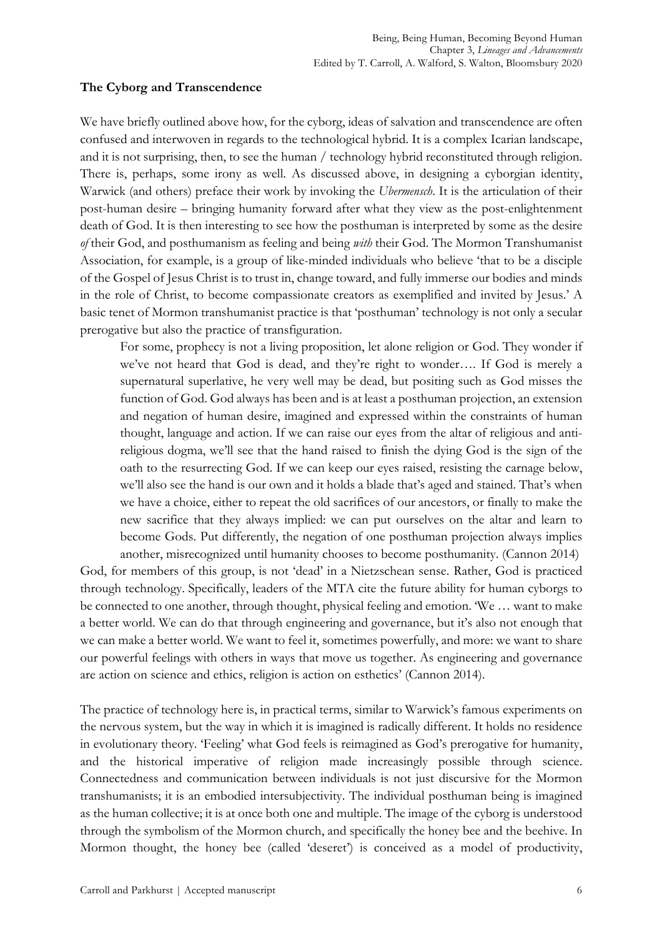### **The Cyborg and Transcendence**

We have briefly outlined above how, for the cyborg, ideas of salvation and transcendence are often confused and interwoven in regards to the technological hybrid. It is a complex Icarian landscape, and it is not surprising, then, to see the human / technology hybrid reconstituted through religion. There is, perhaps, some irony as well. As discussed above, in designing a cyborgian identity, Warwick (and others) preface their work by invoking the *Ubermensch*. It is the articulation of their post-human desire – bringing humanity forward after what they view as the post-enlightenment death of God. It is then interesting to see how the posthuman is interpreted by some as the desire *of* their God, and posthumanism as feeling and being *with* their God. The Mormon Transhumanist Association, for example, is a group of like-minded individuals who believe 'that to be a disciple of the Gospel of Jesus Christ is to trust in, change toward, and fully immerse our bodies and minds in the role of Christ, to become compassionate creators as exemplified and invited by Jesus.' A basic tenet of Mormon transhumanist practice is that 'posthuman' technology is not only a secular prerogative but also the practice of transfiguration.

For some, prophecy is not a living proposition, let alone religion or God. They wonder if we've not heard that God is dead, and they're right to wonder…. If God is merely a supernatural superlative, he very well may be dead, but positing such as God misses the function of God. God always has been and is at least a posthuman projection, an extension and negation of human desire, imagined and expressed within the constraints of human thought, language and action. If we can raise our eyes from the altar of religious and antireligious dogma, we'll see that the hand raised to finish the dying God is the sign of the oath to the resurrecting God. If we can keep our eyes raised, resisting the carnage below, we'll also see the hand is our own and it holds a blade that's aged and stained. That's when we have a choice, either to repeat the old sacrifices of our ancestors, or finally to make the new sacrifice that they always implied: we can put ourselves on the altar and learn to become Gods. Put differently, the negation of one posthuman projection always implies another, misrecognized until humanity chooses to become posthumanity. (Cannon 2014)

God, for members of this group, is not 'dead' in a Nietzschean sense. Rather, God is practiced through technology. Specifically, leaders of the MTA cite the future ability for human cyborgs to be connected to one another, through thought, physical feeling and emotion. 'We … want to make a better world. We can do that through engineering and governance, but it's also not enough that we can make a better world. We want to feel it, sometimes powerfully, and more: we want to share our powerful feelings with others in ways that move us together. As engineering and governance are action on science and ethics, religion is action on esthetics' (Cannon 2014).

The practice of technology here is, in practical terms, similar to Warwick's famous experiments on the nervous system, but the way in which it is imagined is radically different. It holds no residence in evolutionary theory. 'Feeling' what God feels is reimagined as God's prerogative for humanity, and the historical imperative of religion made increasingly possible through science. Connectedness and communication between individuals is not just discursive for the Mormon transhumanists; it is an embodied intersubjectivity. The individual posthuman being is imagined as the human collective; it is at once both one and multiple. The image of the cyborg is understood through the symbolism of the Mormon church, and specifically the honey bee and the beehive. In Mormon thought, the honey bee (called 'deseret') is conceived as a model of productivity,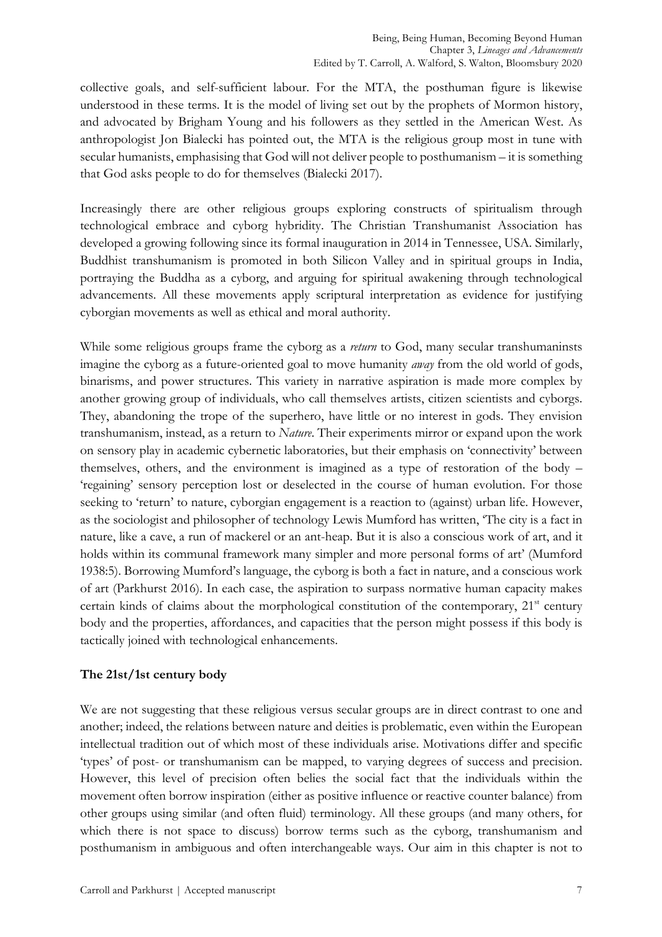collective goals, and self-sufficient labour. For the MTA, the posthuman figure is likewise understood in these terms. It is the model of living set out by the prophets of Mormon history, and advocated by Brigham Young and his followers as they settled in the American West. As anthropologist Jon Bialecki has pointed out, the MTA is the religious group most in tune with secular humanists, emphasising that God will not deliver people to posthumanism – it is something that God asks people to do for themselves (Bialecki 2017).

Increasingly there are other religious groups exploring constructs of spiritualism through technological embrace and cyborg hybridity. The Christian Transhumanist Association has developed a growing following since its formal inauguration in 2014 in Tennessee, USA. Similarly, Buddhist transhumanism is promoted in both Silicon Valley and in spiritual groups in India, portraying the Buddha as a cyborg, and arguing for spiritual awakening through technological advancements. All these movements apply scriptural interpretation as evidence for justifying cyborgian movements as well as ethical and moral authority.

While some religious groups frame the cyborg as a *return* to God, many secular transhumaninsts imagine the cyborg as a future-oriented goal to move humanity *away* from the old world of gods, binarisms, and power structures. This variety in narrative aspiration is made more complex by another growing group of individuals, who call themselves artists, citizen scientists and cyborgs. They, abandoning the trope of the superhero, have little or no interest in gods. They envision transhumanism, instead, as a return to *Nature*. Their experiments mirror or expand upon the work on sensory play in academic cybernetic laboratories, but their emphasis on 'connectivity' between themselves, others, and the environment is imagined as a type of restoration of the body – 'regaining' sensory perception lost or deselected in the course of human evolution. For those seeking to 'return' to nature, cyborgian engagement is a reaction to (against) urban life. However, as the sociologist and philosopher of technology Lewis Mumford has written, 'The city is a fact in nature, like a cave, a run of mackerel or an ant-heap. But it is also a conscious work of art, and it holds within its communal framework many simpler and more personal forms of art' (Mumford 1938:5). Borrowing Mumford's language, the cyborg is both a fact in nature, and a conscious work of art (Parkhurst 2016). In each case, the aspiration to surpass normative human capacity makes certain kinds of claims about the morphological constitution of the contemporary, 21<sup>st</sup> century body and the properties, affordances, and capacities that the person might possess if this body is tactically joined with technological enhancements.

## **The 21st/1st century body**

We are not suggesting that these religious versus secular groups are in direct contrast to one and another; indeed, the relations between nature and deities is problematic, even within the European intellectual tradition out of which most of these individuals arise. Motivations differ and specific 'types' of post- or transhumanism can be mapped, to varying degrees of success and precision. However, this level of precision often belies the social fact that the individuals within the movement often borrow inspiration (either as positive influence or reactive counter balance) from other groups using similar (and often fluid) terminology. All these groups (and many others, for which there is not space to discuss) borrow terms such as the cyborg, transhumanism and posthumanism in ambiguous and often interchangeable ways. Our aim in this chapter is not to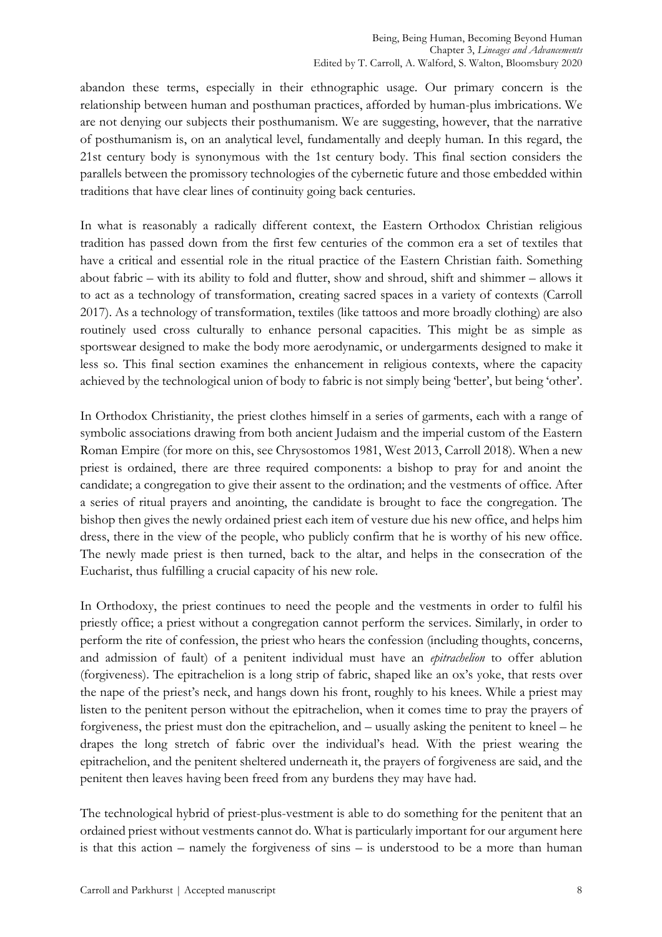abandon these terms, especially in their ethnographic usage. Our primary concern is the relationship between human and posthuman practices, afforded by human-plus imbrications. We are not denying our subjects their posthumanism. We are suggesting, however, that the narrative of posthumanism is, on an analytical level, fundamentally and deeply human. In this regard, the 21st century body is synonymous with the 1st century body. This final section considers the parallels between the promissory technologies of the cybernetic future and those embedded within traditions that have clear lines of continuity going back centuries.

In what is reasonably a radically different context, the Eastern Orthodox Christian religious tradition has passed down from the first few centuries of the common era a set of textiles that have a critical and essential role in the ritual practice of the Eastern Christian faith. Something about fabric – with its ability to fold and flutter, show and shroud, shift and shimmer – allows it to act as a technology of transformation, creating sacred spaces in a variety of contexts (Carroll 2017). As a technology of transformation, textiles (like tattoos and more broadly clothing) are also routinely used cross culturally to enhance personal capacities. This might be as simple as sportswear designed to make the body more aerodynamic, or undergarments designed to make it less so. This final section examines the enhancement in religious contexts, where the capacity achieved by the technological union of body to fabric is not simply being 'better', but being 'other'.

In Orthodox Christianity, the priest clothes himself in a series of garments, each with a range of symbolic associations drawing from both ancient Judaism and the imperial custom of the Eastern Roman Empire (for more on this, see Chrysostomos 1981, West 2013, Carroll 2018). When a new priest is ordained, there are three required components: a bishop to pray for and anoint the candidate; a congregation to give their assent to the ordination; and the vestments of office. After a series of ritual prayers and anointing, the candidate is brought to face the congregation. The bishop then gives the newly ordained priest each item of vesture due his new office, and helps him dress, there in the view of the people, who publicly confirm that he is worthy of his new office. The newly made priest is then turned, back to the altar, and helps in the consecration of the Eucharist, thus fulfilling a crucial capacity of his new role.

In Orthodoxy, the priest continues to need the people and the vestments in order to fulfil his priestly office; a priest without a congregation cannot perform the services. Similarly, in order to perform the rite of confession, the priest who hears the confession (including thoughts, concerns, and admission of fault) of a penitent individual must have an *epitrachelion* to offer ablution (forgiveness). The epitrachelion is a long strip of fabric, shaped like an ox's yoke, that rests over the nape of the priest's neck, and hangs down his front, roughly to his knees. While a priest may listen to the penitent person without the epitrachelion, when it comes time to pray the prayers of forgiveness, the priest must don the epitrachelion, and – usually asking the penitent to kneel – he drapes the long stretch of fabric over the individual's head. With the priest wearing the epitrachelion, and the penitent sheltered underneath it, the prayers of forgiveness are said, and the penitent then leaves having been freed from any burdens they may have had.

The technological hybrid of priest-plus-vestment is able to do something for the penitent that an ordained priest without vestments cannot do. What is particularly important for our argument here is that this action – namely the forgiveness of sins – is understood to be a more than human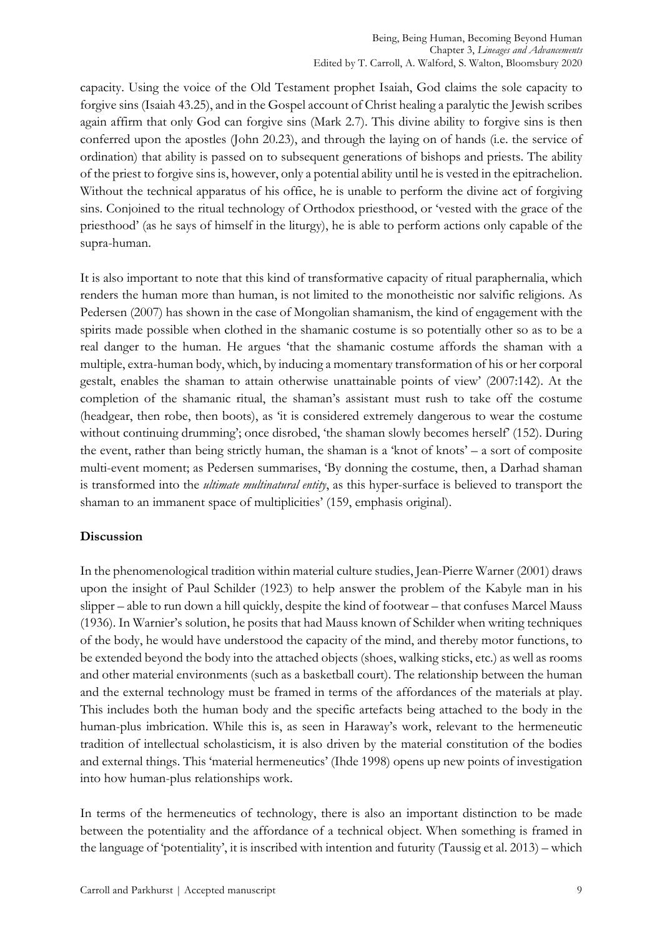capacity. Using the voice of the Old Testament prophet Isaiah, God claims the sole capacity to forgive sins (Isaiah 43.25), and in the Gospel account of Christ healing a paralytic the Jewish scribes again affirm that only God can forgive sins (Mark 2.7). This divine ability to forgive sins is then conferred upon the apostles (John 20.23), and through the laying on of hands (i.e. the service of ordination) that ability is passed on to subsequent generations of bishops and priests. The ability of the priest to forgive sins is, however, only a potential ability until he is vested in the epitrachelion. Without the technical apparatus of his office, he is unable to perform the divine act of forgiving sins. Conjoined to the ritual technology of Orthodox priesthood, or 'vested with the grace of the priesthood' (as he says of himself in the liturgy), he is able to perform actions only capable of the supra-human.

It is also important to note that this kind of transformative capacity of ritual paraphernalia, which renders the human more than human, is not limited to the monotheistic nor salvific religions. As Pedersen (2007) has shown in the case of Mongolian shamanism, the kind of engagement with the spirits made possible when clothed in the shamanic costume is so potentially other so as to be a real danger to the human. He argues 'that the shamanic costume affords the shaman with a multiple, extra-human body, which, by inducing a momentary transformation of his or her corporal gestalt, enables the shaman to attain otherwise unattainable points of view' (2007:142). At the completion of the shamanic ritual, the shaman's assistant must rush to take off the costume (headgear, then robe, then boots), as 'it is considered extremely dangerous to wear the costume without continuing drumming'; once disrobed, 'the shaman slowly becomes herself' (152). During the event, rather than being strictly human, the shaman is a 'knot of knots' – a sort of composite multi-event moment; as Pedersen summarises, 'By donning the costume, then, a Darhad shaman is transformed into the *ultimate multinatural entity*, as this hyper-surface is believed to transport the shaman to an immanent space of multiplicities' (159, emphasis original).

## **Discussion**

In the phenomenological tradition within material culture studies, Jean-Pierre Warner (2001) draws upon the insight of Paul Schilder (1923) to help answer the problem of the Kabyle man in his slipper – able to run down a hill quickly, despite the kind of footwear – that confuses Marcel Mauss (1936). In Warnier's solution, he posits that had Mauss known of Schilder when writing techniques of the body, he would have understood the capacity of the mind, and thereby motor functions, to be extended beyond the body into the attached objects (shoes, walking sticks, etc.) as well as rooms and other material environments (such as a basketball court). The relationship between the human and the external technology must be framed in terms of the affordances of the materials at play. This includes both the human body and the specific artefacts being attached to the body in the human-plus imbrication. While this is, as seen in Haraway's work, relevant to the hermeneutic tradition of intellectual scholasticism, it is also driven by the material constitution of the bodies and external things. This 'material hermeneutics' (Ihde 1998) opens up new points of investigation into how human-plus relationships work.

In terms of the hermeneutics of technology, there is also an important distinction to be made between the potentiality and the affordance of a technical object. When something is framed in the language of 'potentiality', it is inscribed with intention and futurity (Taussig et al. 2013) – which